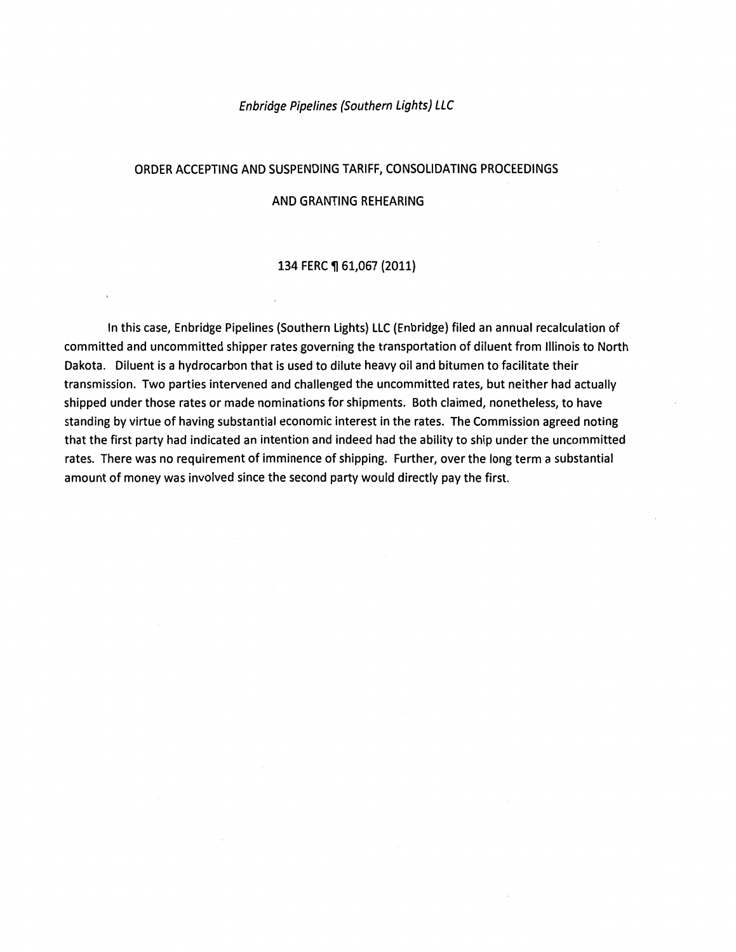#### Enbridge Pipelines (Southern Lights) LLC

### ORDER ACCEPTING AND SUSPENDING TARIFF, CONSOLIDATING PROCEEDINGS

#### AND GRANTING REHEARING

#### 134 FERC ¶ 61,067 (2011)

In this case, Enbridge Pipelines (Southern Lights) LLC (Enbridge) filed an annual recalculation of committed and uncommitted shipper rates governing the transportation of diluent from Illinois to North Dakota. Diluent is a hydrocarbon that is used to dilute heavy oil and bitumen to facilitate their transmission. Two parties intervened and challenged the uncommitted rates, but neither had actually shipped under those rates or made nominations for shipments. Both claimed, nonetheless, to have standing by virtue of having substantial economic interest in the rates. The Commission agreed noting that the first party had indicated an intention and indeed had the ability to ship under the uncommitted rates. There was no requirement of imminence of shipping. Further, over the long term a substantial amount of money was involved since the second party would directly pay the first.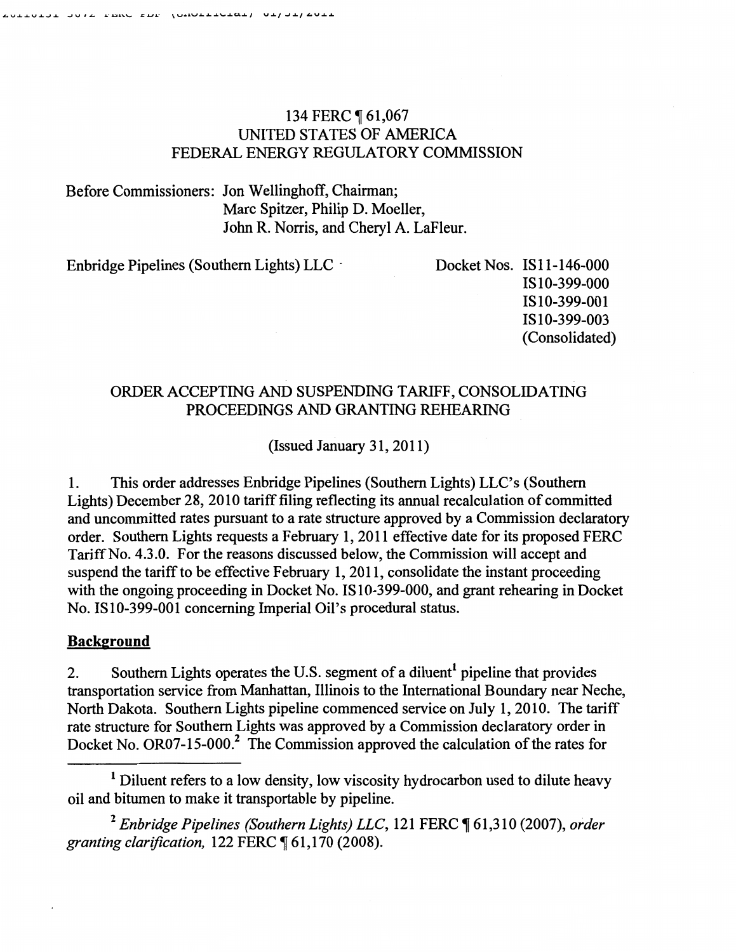# 134 FERC 161,067 UNITED STATES OF AMERICA FEDERAL ENERGY REGULATORY COMMISSION

Before Commissioners: Jon Wellinghoff, Chairman; Marc Spitzer, Philip D. Moeller, John R. Norris, and Cheryl A. LaFleur.

Enbridge Pipelines (Southern Lights) LLC · Docket Nos. IS11-146-000

ISI0-399-000 IS10-399-001 IS10-399-003 (Consolidated)

# ORDER ACCEPTING AND SUSPENDING TARIFF, CONSOLIDATING PROCEEDINGS AND GRANTING REHEARING

(Issued January 31, 2011)

1. This order addresses Enbridge Pipelines (Southern Lights) LLC's (Southern Lights) December 28, 2010 tariff filing reflecting its annual recalculation of committed and uncommitted rates pursuant to a rate structure approved by a Commission declaratory order. Southern Lights requests a February 1, 2011 effective date for its proposed FERC Tariff No. 4.3.0. For the reasons discussed below, the Commission will accept and suspend the tariff to be effective February 1, 2011, consolidate the instant proceeding with the ongoing proceeding in Docket No. IS10-399-000, and grant rehearing in Docket No. ISI0-399-001 concerning Imperial Oil's procedural status.

## Background

2. Southern Lights operates the U.S. segment of a diluent<sup>1</sup> pipeline that provides transportation service from Manhattan, Illinois to the International Boundary near Neche, North Dakota. Southern Lights pipeline commenced service on July 1, 2010. The tariff rate structure for Southern Lights was approved by a Commission declaratory order in Docket No. OR07-15-000.<sup>2</sup> The Commission approved the calculation of the rates for

<sup>2</sup> Enbridge Pipelines (Southern Lights) LLC, 121 FERC [61,310 (2007), order *granting clarification, 122 FERC*  $$61,170$  (2008).

 $<sup>1</sup>$  Diluent refers to a low density, low viscosity hydrocarbon used to dilute heavy</sup> oil and bitumen to make it transportable by pipeline.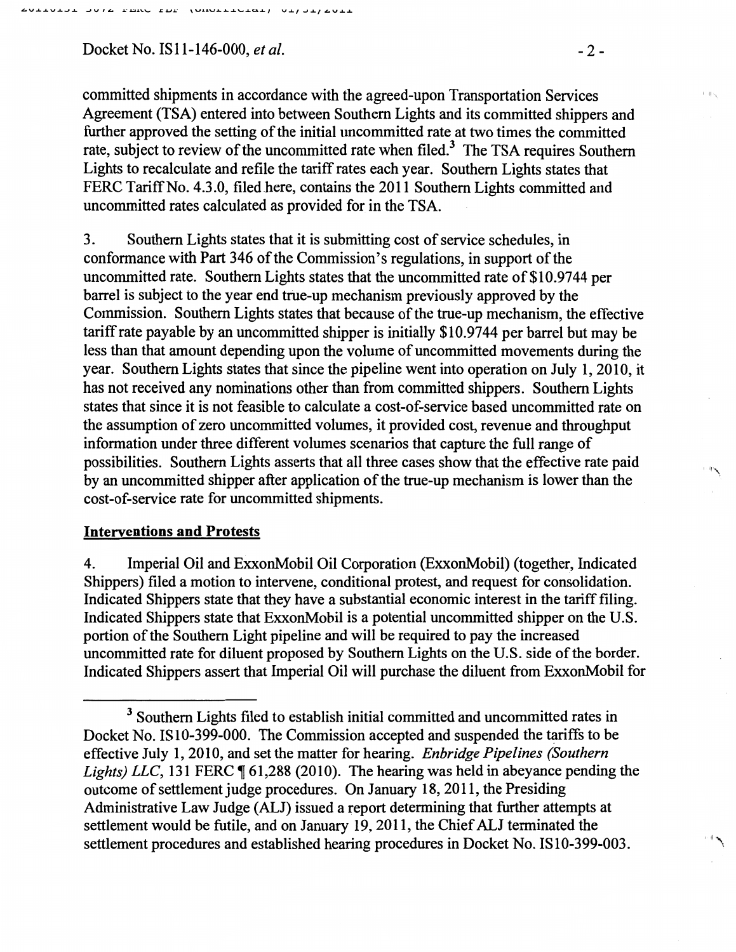Docket No. ISII-146-000, *et al.* -2-

committed shipments in accordance with the agreed-upon Transportation Services Agreement (TSA) entered into between Southern Lights and its committed shippers and further approved the setting of the initial uncommitted rate at two times the committed rate, subject to review of the uncommitted rate when filed.<sup>3</sup> The TSA requires Southern Lights to recalculate and refile the tariff rates each year. Southern Lights states that FERC Tariff No. 4.3.0, filed here, contains the 2011 Southern Lights committed and uncommitted rates calculated as provided for in the TSA.

3. Southern Lights states that it is submitting cost of service schedules, in conformance with Part 346 of the Commission's regulations, in support of the uncommitted rate. Southern Lights states that the uncommitted rate of \$10.9744 per barrel is subject to the year end true-up mechanism previously approved by the Commission. Southern Lights states that because of the true-up mechanism, the effective tariff rate payable by an uncommitted shipper is initially \$10.9744 per barrel but may be less than that amount depending upon the volume of uncommitted movements during the year. Southern Lights states that since the pipeline went into operation on July I, 2010, it has not received any nominations other than from committed shippers. Southern Lights states that since it is not feasible to calculate a cost-of-service based uncommitted rate on the assumption of zero uncommitted volumes, it provided cost, revenue and throughput information under three different volumes scenarios that capture the full range of possibilities. Southern Lights asserts that all three cases show that the effective rate paid by an uncommitted shipper after application of the true-up mechanism is lower than the cost-of-service rate for uncommitted shipments.

## Interventions and Protests

4. Imperial Oil and ExxonMobil Oil Corporation (ExxonMobil) (together, Indicated Shippers) filed a motion to intervene, conditional protest, and request for consolidation. Indicated Shippers state that they have a substantial economic interest in the tariff filing. Indicated Shippers state that ExxonMobil is a potential uncommitted shipper on the U.S. portion of the Southern Light pipeline and will be required to pay the increased uncommitted rate for diluent proposed by Southern Lights on the U.S. side of the border. Indicated Shippers assert that Imperial Oil will purchase the diluent from ExxonMobil for

 $1 - H \sim$ 

<sup>&</sup>lt;sup>3</sup> Southern Lights filed to establish initial committed and uncommitted rates in Docket No. IS10-399-000. The Commission accepted and suspended the tariffs to be effective July 1, 2010, and set the matter for hearing. *Enbridge Pipelines (Southern Lights) LLC*, 131 FERC  $\llbracket 61,288$  (2010). The hearing was held in abeyance pending the outcome of settlement judge procedures. On January 18,2011, the Presiding Administrative Law Judge (ALJ) issued a report determining that further attempts at settlement would be futile, and on January 19, 2011, the Chief ALJ terminated the settlement procedures and established hearing procedures in Docket No. IS10-399-003.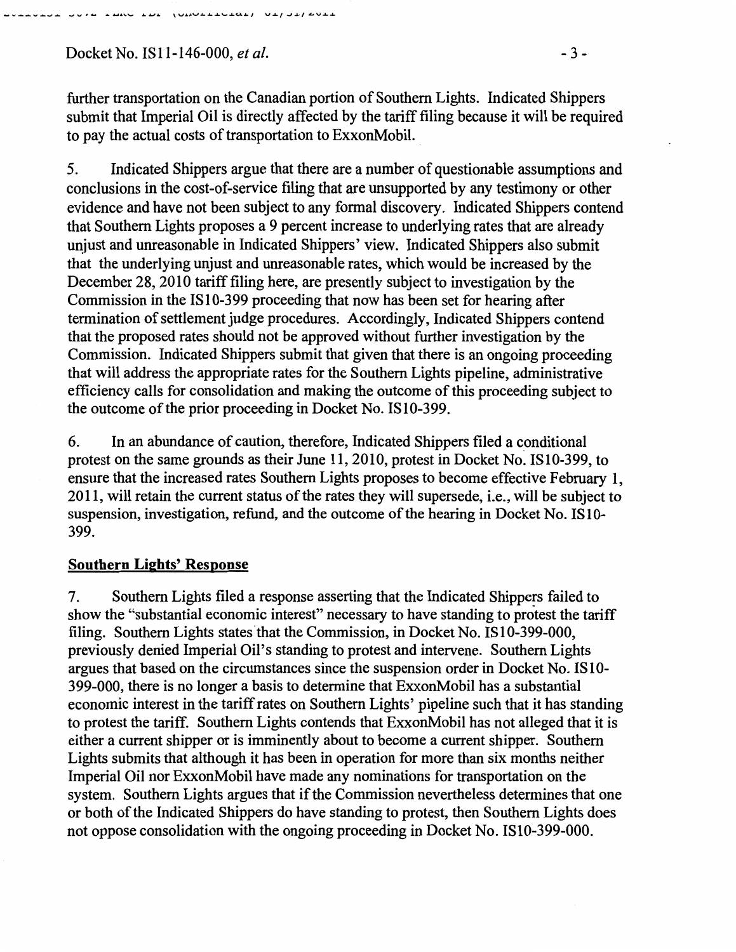Docket No. ISll-146-000, *et al.* -3-

**SOVIA LANG LOC** 

 $\overline{101011101011}$   $01131316011$ 

further transportation on the Canadian portion of Southern Lights. Indicated Shippers submit that Imperial Oil is directly affected by the tariff filing because it will be required to pay the actual costs of transportation to ExxonMobil.

5. Indicated Shippers argue that there are a number of questionable assumptions and conclusions in the cost-of-service filing that are unsupported by any testimony or other evidence and have not been subject to any formal discovery. Indicated Shippers contend that Southern Lights proposes a 9 percent increase to underlying rates that are already unjust and unreasonable in Indicated Shippers' view. Indicated Shippers also submit that the underlying unjust and unreasonable rates, which would be increased by the December 28, 2010 tariff filing here, are presently subject to investigation by the Commission in the ISI0-399 proceeding that now has been set for hearing after termination of settlement judge procedures. Accordingly, Indicated Shippers contend that the proposed rates should not be approved without further investigation by the Commission. Indicated Shippers submit that given that there is an ongoing proceeding that will address the appropriate rates for the Southern Lights pipeline, administrative efficiency calls for consolidation and making the outcome of this proceeding subject to the outcome of the prior proceeding in Docket No. IS10-399.

6. In an abundance of caution, therefore, Indicated Shippers filed a conditional protest on the same grounds as their June 11,2010, protest in Docket No. IS10-399, to ensure that the increased rates Southern Lights proposes to become effective February 1, 2011, will retain the current status of the rates they will supersede, i.e., will be subject to suspension, investigation, refund, and the outcome of the hearing in Docket No. IS10- 399.

# Southern Lights' Response

7. Southern Lights filed a response asserting that the Indicated Shippers failed to show the "substantial economic interest" necessary to have standing to protest the tariff filing. Southern Lights states that the Commission, in Docket No. IS 10-399-000, previously denied Imperial Oil's standing to protest and intervene. Southern Lights argues that based on the circumstances since the suspension order in Docket No. IS 10- 399-000, there is no longer a basis to determine that ExxonMobil has a substantial economic interest in the tariff rates on Southern Lights' pipeline such that it has standing to protest the tariff. Southern Lights contends that ExxonMobil has not alleged that it is either a current shipper or is imminently about to become a current shipper. Southern Lights submits that although it has been in operation for more than six months neither Imperial Oil nor ExxonMobil have made any nominations for transportation on the system. Southern Lights argues that if the Commission nevertheless determines that one or both of the Indicated Shippers do have standing to protest, then Southern Lights does not oppose consolidation with the ongoing proceeding in Docket No. IS10-399-000.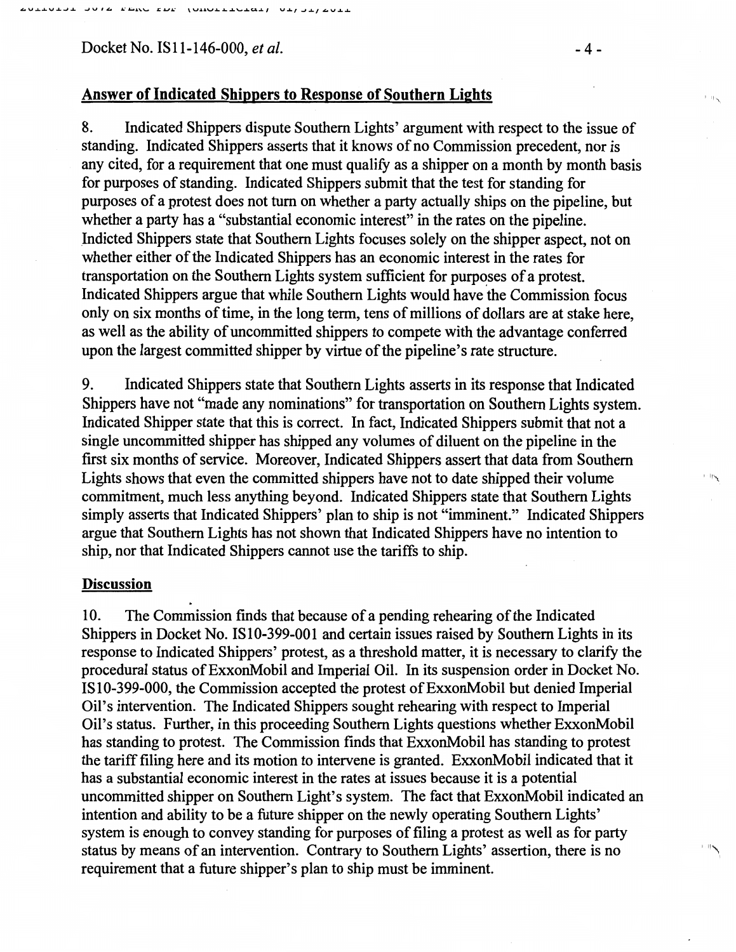Docket No. IS 11-146-000, *et al.* -4-

## Answer of Indicated Shippers to Response of Southern Lights

8. Indicated Shippers dispute Southern Lights' argument with respect to the issue of standing. Indicated Shippers asserts that it knows of no Commission precedent, nor is any cited, for a requirement that one must qualify as a shipper on a month by month basis for purposes of standing. Indicated Shippers submit that the test for standing for purposes of a protest does not turn on whether a party actually ships on the pipeline, but whether a party has a "substantial economic interest" in the rates on the pipeline. Indicted Shippers state that Southern Lights focuses solely on the shipper aspect, not on whether either of the Indicated Shippers has an economic interest in the rates for transportation on the Southern Lights system sufficient for purposes of a protest. Indicated Shippers argue that while Southern Lights would have the Commission focus only on six months of time, in the long term, tens of millions of dollars are at stake here, as well as the ability of uncommitted shippers to compete with the advantage conferred upon the largest committed shipper by virtue of the pipeline's rate structure.

9. Indicated Shippers state that Southern Lights asserts in its response that Indicated Shippers have not "made any nominations" for transportation on Southern Lights system. Indicated Shipper state that this is correct. In fact, Indicated Shippers submit that not a single uncommitted shipper has shipped any volumes of diluent on the pipeline in the first six months of service. Moreover, Indicated Shippers assert that data from Southern Lights shows that even the committed shippers have not to date shipped their volume commitment, much less anything beyond. Indicated Shippers state that Southern Lights simply asserts that Indicated Shippers' plan to ship is not "imminent." Indicated Shippers argue that Southern Lights has not shown that Indicated Shippers have no intention to ship, nor that Indicated Shippers cannot use the tariffs to ship.

### **Discussion**

10. The Commission fmds that because of a pending rehearing of the Indicated Shippers in Docket No. IS10-399-001 and certain issues raised by Southern Lights in its response to Indicated Shippers' protest, as a threshold matter, it is necessary to clarify the procedural status of ExxonMobil and Imperial Oil. In its suspension order in Docket No. IS10-399-000, the Commission accepted the protest of ExxonMobil but denied Imperial Oil's intervention. The Indicated Shippers sought rehearing with respect to Imperial Oil's status. Further, in this proceeding Southern Lights questions whether ExxonMobil has standing to protest. The Commission finds that ExxonMobil has standing to protest the tariff filing here and its motion to intervene is granted. ExxonMobil indicated that it has a substantial economic interest in the rates at issues because it is a potential uncommitted shipper on Southern Light's system. The fact that ExxonMobil indicated an intention and ability to be a future shipper on the newly operating Southern Lights' system is enough to convey standing for purposes of filing a protest as well as for party status by means of an intervention. Contrary to Southern Lights' assertion, there is no ''''\ requirement that a future shipper's plan to ship must be imminent.

 $\| \cdot \|$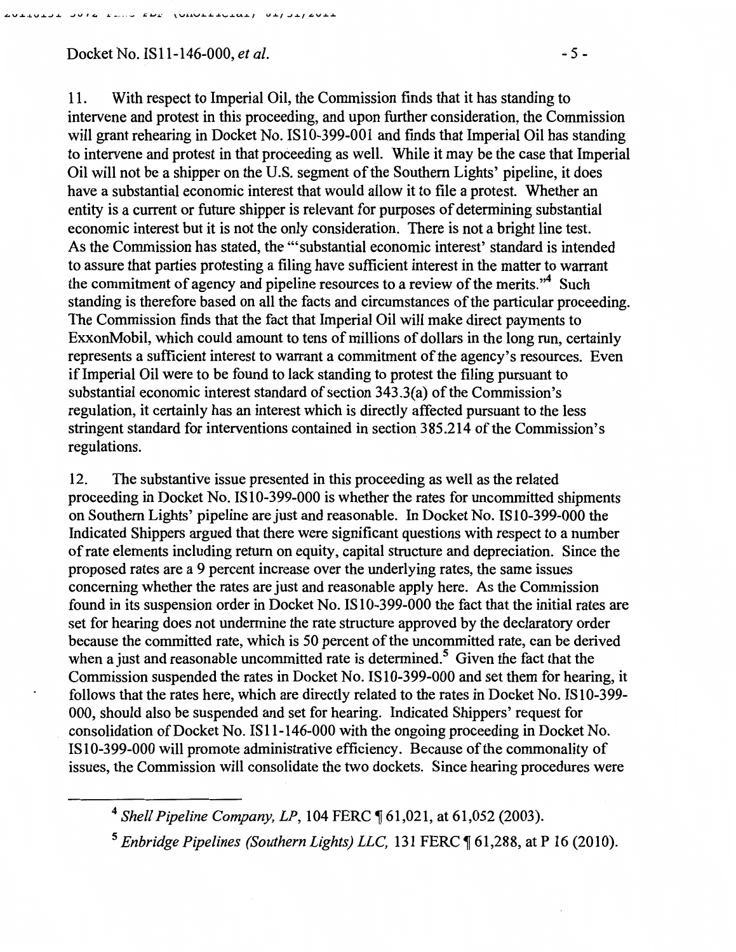# Docket No. IS 11-146-000, *et al.* -5-

 $\overline{101011110101}$   $01101101$ 

**RESIDENCE** 

11. With respect to Imperial Oil, the Commission finds that it has standing to intervene and protest in this proceeding, and upon further consideration, the Commission will grant rehearing in Docket No. IS10-399-001 and finds that Imperial Oil has standing to intervene and protest in that proceeding as well. While it may be the case that Imperial Oil will not be a shipper on the U.S. segment of the Southern Lights' pipeline, it does have a substantial economic interest that would allow it to file a protest. Whether an entity is a current or future shipper is relevant for purposes of determining substantial economic interest but it is not the only consideration. There is not a bright line test. As the Commission has stated, the '"substantial economic interest' standard is intended to assure that parties protesting a filing have sufficient interest in the matter to warrant the commitment of agency and pipeline resources to a review of the merits."<sup>4</sup> Such standing is therefore based on all the facts and circumstances of the particular proceeding. The Commission finds that the fact that Imperial Oil will make direct payments to ExxonMobil, which could amount to tens of millions of dollars in the long run, certainly represents a sufficient interest to warrant a commitment of the agency's resources. Even if Imperial Oil were to be found to lack standing to protest the filing pursuant to substantial economic interest standard of section 343.3(a) of the Commission's regulation, it certainly has an interest which is directly affected pursuant to the less stringent standard for interventions contained in section 385.214 of the Commission's regulations.

12. The substantive issue presented in this proceeding as well as the related proceeding in Docket No. IS 10-399-000 is whether the rates for uncommitted shipments on Southern Lights' pipeline are just and reasonable. In Docket No. IS10-399-000 the Indicated Shippers argued that there were significant questions with respect to a number of rate elements including return on equity, capital structure and depreciation. Since the proposed rates are a 9 percent increase over the underlying rates, the same issues concerning whether the rates are just and reasonable apply here. As the Commission found in its suspension order in Docket No. IS 10-399-000 the fact that the initial rates are set for hearing does not undermine the rate structure approved by the declaratory order because the committed rate, which is 50 percent of the uncommitted rate, can be derived when a just and reasonable uncommitted rate is determined.<sup>5</sup> Given the fact that the Commission suspended the rates in Docket No. IS10-399-000 and set them for hearing, it follows that the rates here, which are directly related to the rates in Docket No. IS10-399- 000, should also be suspended and set for hearing. Indicated Shippers' request for consolidation of Docket No. IS11-146-000 with the ongoing proceeding in Docket No. IS10-399-000 will promote administrative efficiency. Because of the commonality of issues, the Commission will consolidate the two dockets. Since hearing procedures were

<sup>&</sup>lt;sup>4</sup> Shell Pipeline Company, LP, 104 FERC ¶ 61,021, at 61,052 (2003).

<sup>&</sup>lt;sup>5</sup> Enbridge Pipelines (Southern Lights) LLC, 131 FERC ¶ 61,288, at P 16 (2010).